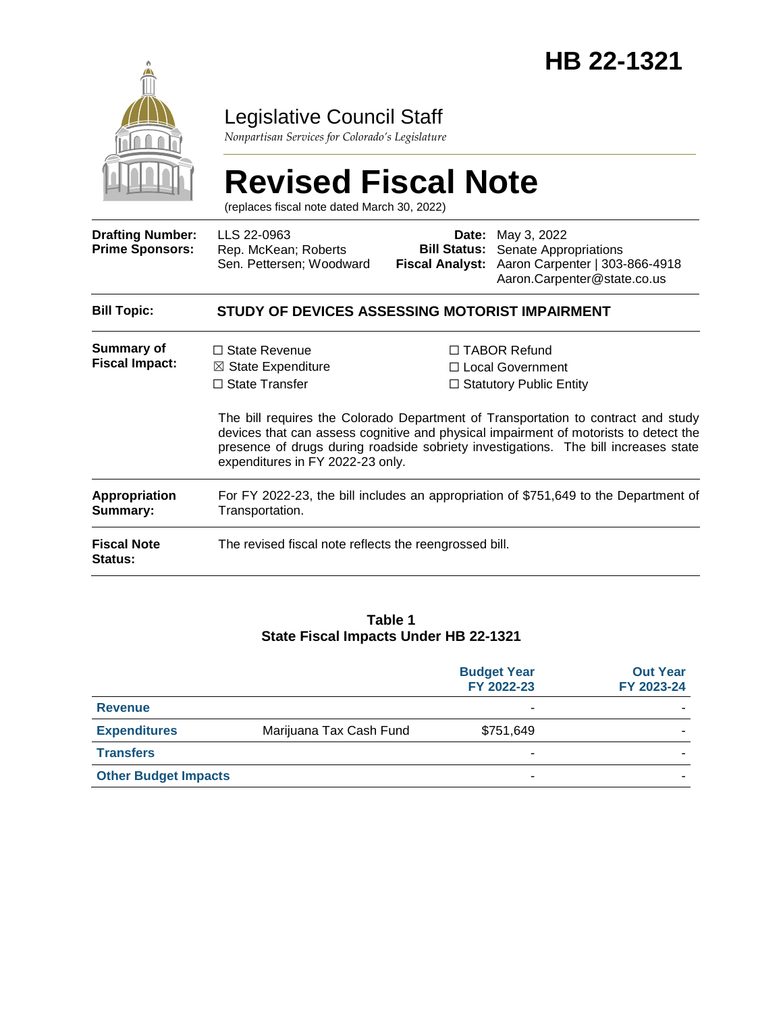

### Legislative Council Staff

*Nonpartisan Services for Colorado's Legislature*

# **Revised Fiscal Note**

(replaces fiscal note dated March 30, 2022)

| <b>Drafting Number:</b><br><b>Prime Sponsors:</b> | LLS 22-0963<br>Rep. McKean; Roberts<br>Sen. Pettersen; Woodward                                                                                                                                                                                                                                      | Date:<br><b>Bill Status:</b><br><b>Fiscal Analyst:</b>                      | May 3, 2022<br>Senate Appropriations<br>Aaron Carpenter   303-866-4918<br>Aaron.Carpenter@state.co.us |
|---------------------------------------------------|------------------------------------------------------------------------------------------------------------------------------------------------------------------------------------------------------------------------------------------------------------------------------------------------------|-----------------------------------------------------------------------------|-------------------------------------------------------------------------------------------------------|
| <b>Bill Topic:</b>                                | STUDY OF DEVICES ASSESSING MOTORIST IMPAIRMENT                                                                                                                                                                                                                                                       |                                                                             |                                                                                                       |
| <b>Summary of</b><br><b>Fiscal Impact:</b>        | $\Box$ State Revenue<br>$\boxtimes$ State Expenditure<br>$\Box$ State Transfer                                                                                                                                                                                                                       | $\Box$ TABOR Refund<br>□ Local Government<br>$\Box$ Statutory Public Entity |                                                                                                       |
|                                                   | The bill requires the Colorado Department of Transportation to contract and study<br>devices that can assess cognitive and physical impairment of motorists to detect the<br>presence of drugs during roadside sobriety investigations. The bill increases state<br>expenditures in FY 2022-23 only. |                                                                             |                                                                                                       |
| Appropriation<br>Summary:                         | For FY 2022-23, the bill includes an appropriation of \$751,649 to the Department of<br>Transportation.                                                                                                                                                                                              |                                                                             |                                                                                                       |
| <b>Fiscal Note</b><br>Status:                     | The revised fiscal note reflects the reengrossed bill.                                                                                                                                                                                                                                               |                                                                             |                                                                                                       |

#### **Table 1 State Fiscal Impacts Under HB 22-1321**

|                             |                         | <b>Budget Year</b><br>FY 2022-23 | <b>Out Year</b><br>FY 2023-24 |
|-----------------------------|-------------------------|----------------------------------|-------------------------------|
| <b>Revenue</b>              |                         | -                                |                               |
| <b>Expenditures</b>         | Marijuana Tax Cash Fund | \$751,649                        |                               |
| <b>Transfers</b>            |                         | ۰                                |                               |
| <b>Other Budget Impacts</b> |                         | -                                |                               |